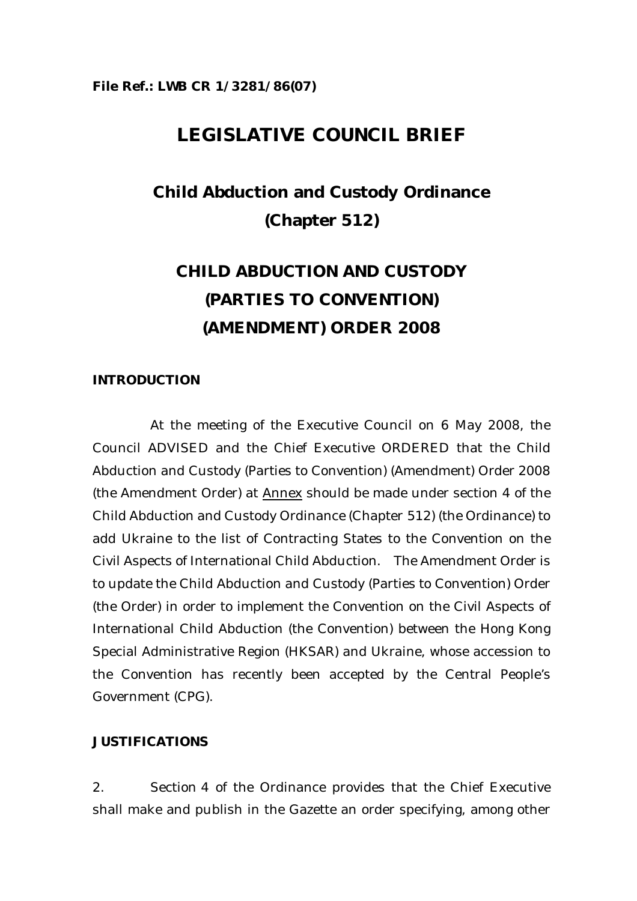## **LEGISLATIVE COUNCIL BRIEF**

# **Child Abduction and Custody Ordinance (Chapter 512)**

# **CHILD ABDUCTION AND CUSTODY (PARTIES TO CONVENTION) (AMENDMENT) ORDER 2008**

#### **INTRODUCTION**

 At the meeting of the Executive Council on 6 May 2008, the Council ADVISED and the Chief Executive ORDERED that the Child Abduction and Custody (Parties to Convention) (Amendment) Order 2008 (the Amendment Order) at Annex should be made under section 4 of the Child Abduction and Custody Ordinance (Chapter 512) (the Ordinance) to add Ukraine to the list of Contracting States to the Convention on the Civil Aspects of International Child Abduction. The Amendment Order is to update the Child Abduction and Custody (Parties to Convention) Order (the Order) in order to implement the Convention on the Civil Aspects of International Child Abduction (the Convention) between the Hong Kong Special Administrative Region (HKSAR) and Ukraine, whose accession to the Convention has recently been accepted by the Central People's Government (CPG).

#### **JUSTIFICATIONS**

2. Section 4 of the Ordinance provides that the Chief Executive shall make and publish in the Gazette an order specifying, among other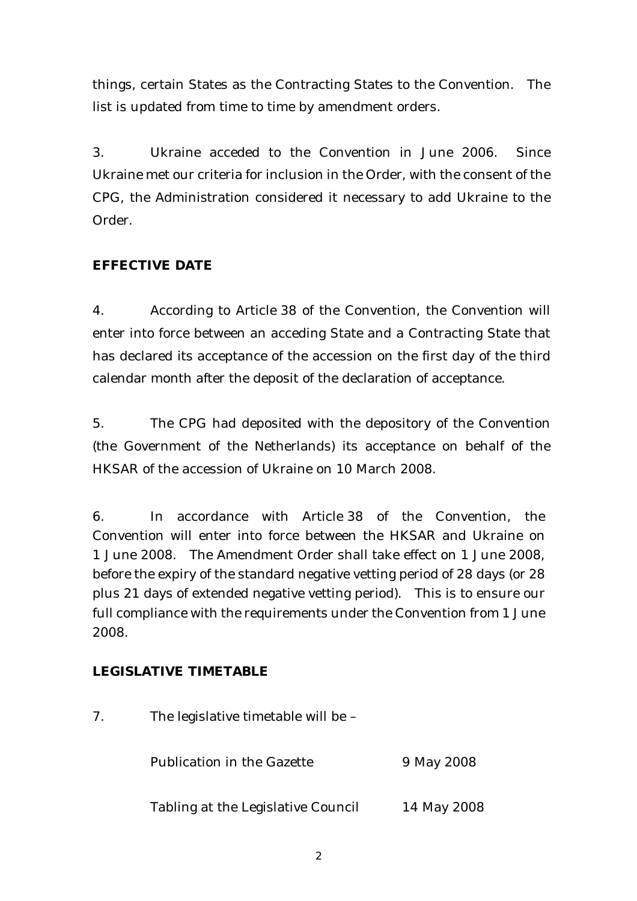things, certain States as the Contracting States to the Convention. The list is updated from time to time by amendment orders.

3. Ukraine acceded to the Convention in June 2006. Since Ukraine met our criteria for inclusion in the Order, with the consent of the CPG, the Administration considered it necessary to add Ukraine to the Order.

### **EFFECTIVE DATE**

4. According to Article 38 of the Convention, the Convention will enter into force between an acceding State and a Contracting State that has declared its acceptance of the accession on the first day of the third calendar month after the deposit of the declaration of acceptance.

5. The CPG had deposited with the depository of the Convention (the Government of the Netherlands) its acceptance on behalf of the HKSAR of the accession of Ukraine on 10 March 2008.

6. In accordance with Article 38 of the Convention, the Convention will enter into force between the HKSAR and Ukraine on 1 June 2008. The Amendment Order shall take effect on 1 June 2008, before the expiry of the standard negative vetting period of 28 days (or 28 plus 21 days of extended negative vetting period). This is to ensure our full compliance with the requirements under the Convention from 1 June 2008.

### **LEGISLATIVE TIMETABLE**

| 7. | The legislative timetable will be - |             |
|----|-------------------------------------|-------------|
|    | <b>Publication in the Gazette</b>   | 9 May 2008  |
|    | Tabling at the Legislative Council  | 14 May 2008 |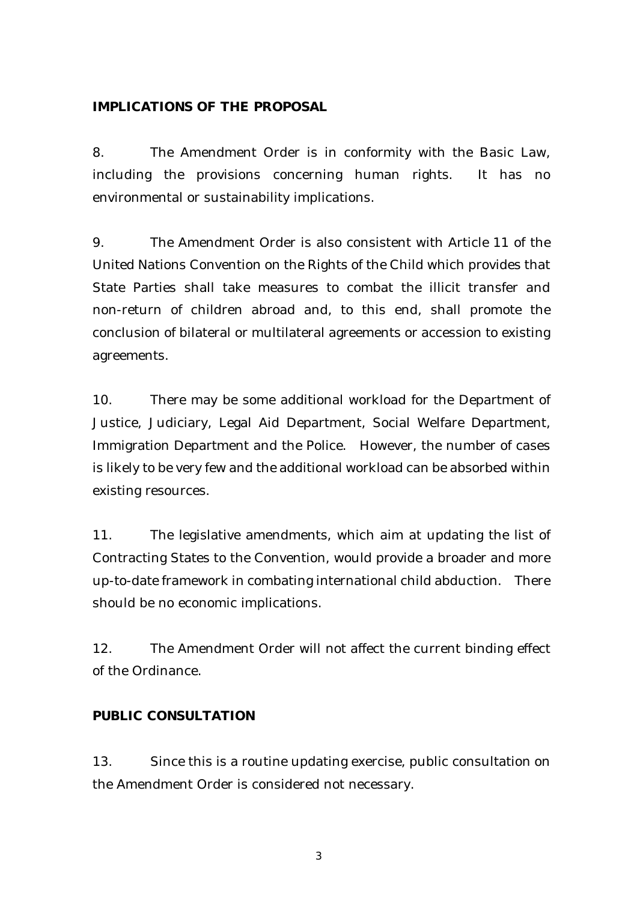#### **IMPLICATIONS OF THE PROPOSAL**

8. The Amendment Order is in conformity with the Basic Law, including the provisions concerning human rights. It has no environmental or sustainability implications.

9. The Amendment Order is also consistent with Article 11 of the United Nations Convention on the Rights of the Child which provides that State Parties shall take measures to combat the illicit transfer and non-return of children abroad and, to this end, shall promote the conclusion of bilateral or multilateral agreements or accession to existing agreements.

10. There may be some additional workload for the Department of Justice, Judiciary, Legal Aid Department, Social Welfare Department, Immigration Department and the Police. However, the number of cases is likely to be very few and the additional workload can be absorbed within existing resources.

11. The legislative amendments, which aim at updating the list of Contracting States to the Convention, would provide a broader and more up-to-date framework in combating international child abduction. There should be no economic implications.

12. The Amendment Order will not affect the current binding effect of the Ordinance.

#### **PUBLIC CONSULTATION**

13. Since this is a routine updating exercise, public consultation on the Amendment Order is considered not necessary.

3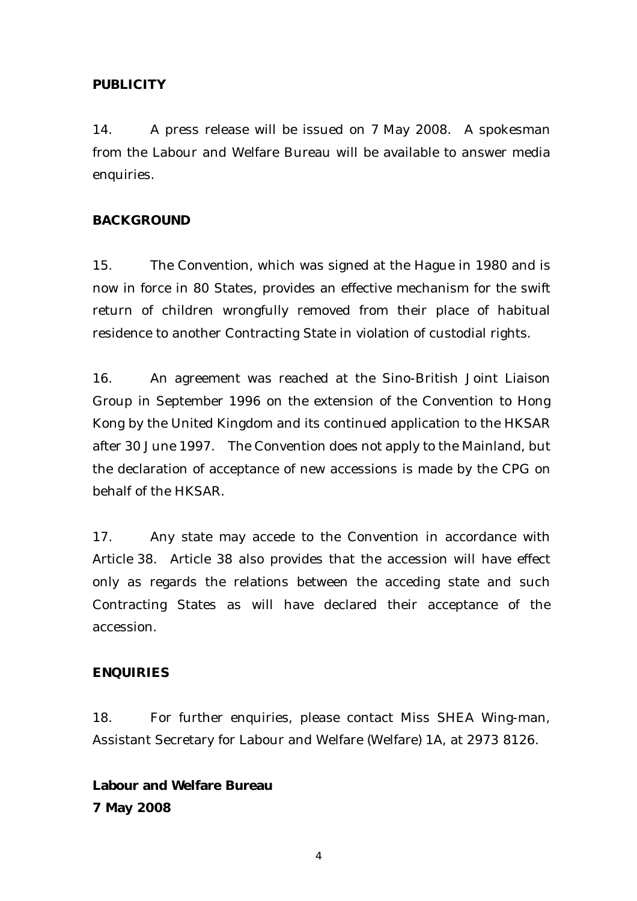#### **PUBLICITY**

14. A press release will be issued on 7 May 2008. A spokesman from the Labour and Welfare Bureau will be available to answer media enquiries.

#### **BACKGROUND**

15. The Convention, which was signed at the Hague in 1980 and is now in force in 80 States, provides an effective mechanism for the swift return of children wrongfully removed from their place of habitual residence to another Contracting State in violation of custodial rights.

16. An agreement was reached at the Sino-British Joint Liaison Group in September 1996 on the extension of the Convention to Hong Kong by the United Kingdom and its continued application to the HKSAR after 30 June 1997. The Convention does not apply to the Mainland, but the declaration of acceptance of new accessions is made by the CPG on behalf of the HKSAR.

17. Any state may accede to the Convention in accordance with Article 38. Article 38 also provides that the accession will have effect only as regards the relations between the acceding state and such Contracting States as will have declared their acceptance of the accession.

#### **ENQUIRIES**

18. For further enquiries, please contact Miss SHEA Wing-man, Assistant Secretary for Labour and Welfare (Welfare) 1A, at 2973 8126.

**Labour and Welfare Bureau 7 May 2008**

4